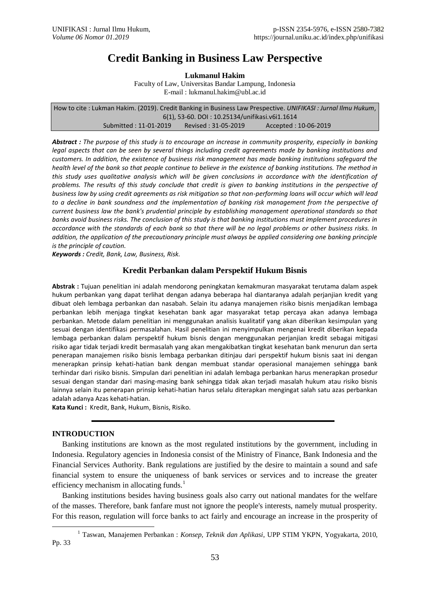# **Credit Banking in Business Law Perspective**

**Lukmanul Hakim**

Faculty of Law, Universitas Bandar Lampung, Indonesia E-mail : lukmanul.hakim@ubl.ac.id

How to cite : Lukman Hakim. (2019). Credit Banking in Business Law Prespective. *UNIFIKASI : Jurnal Ilmu Hukum*, 6(1), 53-60. DOI : 10.25134/unifikasi.v6i1.1614 Submitted : 11-01-2019 Revised : 31-05-2019 Accepted : 10-06-2019

*Abstract : The purpose of this study is to encourage an increase in community prosperity, especially in banking legal aspects that can be seen by several things including credit agreements made by banking institutions and customers. In addition, the existence of business risk management has made banking institutions safeguard the health level of the bank so that people continue to believe in the existence of banking institutions. The method in this study uses qualitative analysis which will be given conclusions in accordance with the identification of problems. The results of this study conclude that credit is given to banking institutions in the perspective of business law by using credit agreements as risk mitigation so that non-performing loans will occur which will lead to a decline in bank soundness and the implementation of banking risk management from the perspective of current business law the bank's prudential principle by establishing management operational standards so that banks avoid business risks. The conclusion of this study is that banking institutions must implement procedures in accordance with the standards of each bank so that there will be no legal problems or other business risks. In addition, the application of the precautionary principle must always be applied considering one banking principle is the principle of caution.*

*Keywords : Credit, Bank, Law, Business, Risk.*

# **Kredit Perbankan dalam Perspektif Hukum Bisnis**

**Abstrak :** Tujuan penelitian ini adalah mendorong peningkatan kemakmuran masyarakat terutama dalam aspek hukum perbankan yang dapat terlihat dengan adanya beberapa hal diantaranya adalah perjanjian kredit yang dibuat oleh lembaga perbankan dan nasabah. Selain itu adanya manajemen risiko bisnis menjadikan lembaga perbankan lebih menjaga tingkat kesehatan bank agar masyarakat tetap percaya akan adanya lembaga perbankan. Metode dalam penelitian ini menggunakan analisis kualitatif yang akan diberikan kesimpulan yang sesuai dengan identifikasi permasalahan. Hasil penelitian ini menyimpulkan mengenai kredit diberikan kepada lembaga perbankan dalam perspektif hukum bisnis dengan menggunakan perjanjian kredit sebagai mitigasi risiko agar tidak terjadi kredit bermasalah yang akan mengakibatkan tingkat kesehatan bank menurun dan serta penerapan manajemen risiko bisnis lembaga perbankan ditinjau dari perspektif hukum bisnis saat ini dengan menerapkan prinsip kehati-hatian bank dengan membuat standar operasional manajemen sehingga bank terhindar dari risiko bisnis. Simpulan dari penelitian ini adalah lembaga perbankan harus menerapkan prosedur sesuai dengan standar dari masing-masing bank sehingga tidak akan terjadi masalah hukum atau risiko bisnis lainnya selain itu penerapan prinsip kehati-hatian harus selalu diterapkan mengingat salah satu azas perbankan adalah adanya Azas kehati-hatian.

**Kata Kunci :** Kredit, Bank, Hukum, Bisnis, Risiko.

## **INTRODUCTION**

Banking institutions are known as the most regulated institutions by the government, including in Indonesia. Regulatory agencies in Indonesia consist of the Ministry of Finance, Bank Indonesia and the Financial Services Authority. Bank regulations are justified by the desire to maintain a sound and safe financial system to ensure the uniqueness of bank services or services and to increase the greater efficiency mechanism in allocating funds. $\frac{1}{1}$ 

Banking institutions besides having business goals also carry out national mandates for the welfare of the masses. Therefore, bank fanfare must not ignore the people's interests, namely mutual prosperity. For this reason, regulation will force banks to act fairly and encourage an increase in the prosperity of

 $\overline{a}$ 1 Taswan, Manajemen Perbankan : *Konsep, Teknik dan Aplikasi*, UPP STIM YKPN, Yogyakarta, 2010, Pp. 33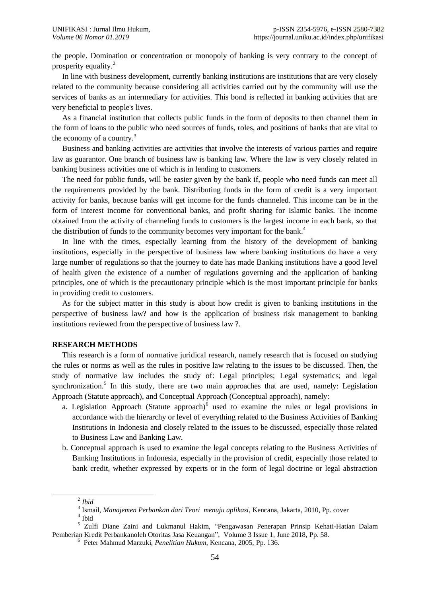the people. Domination or concentration or monopoly of banking is very contrary to the concept of prosperity equality.<sup>2</sup>

In line with business development, currently banking institutions are institutions that are very closely related to the community because considering all activities carried out by the community will use the services of banks as an intermediary for activities. This bond is reflected in banking activities that are very beneficial to people's lives.

As a financial institution that collects public funds in the form of deposits to then channel them in the form of loans to the public who need sources of funds, roles, and positions of banks that are vital to the economy of a country.<sup>3</sup>

Business and banking activities are activities that involve the interests of various parties and require law as guarantor. One branch of business law is banking law. Where the law is very closely related in banking business activities one of which is in lending to customers.

The need for public funds, will be easier given by the bank if, people who need funds can meet all the requirements provided by the bank. Distributing funds in the form of credit is a very important activity for banks, because banks will get income for the funds channeled. This income can be in the form of interest income for conventional banks, and profit sharing for Islamic banks. The income obtained from the activity of channeling funds to customers is the largest income in each bank, so that the distribution of funds to the community becomes very important for the bank.<sup>4</sup>

In line with the times, especially learning from the history of the development of banking institutions, especially in the perspective of business law where banking institutions do have a very large number of regulations so that the journey to date has made Banking institutions have a good level of health given the existence of a number of regulations governing and the application of banking principles, one of which is the precautionary principle which is the most important principle for banks in providing credit to customers.

As for the subject matter in this study is about how credit is given to banking institutions in the perspective of business law? and how is the application of business risk management to banking institutions reviewed from the perspective of business law ?.

### **RESEARCH METHODS**

This research is a form of normative juridical research, namely research that is focused on studying the rules or norms as well as the rules in positive law relating to the issues to be discussed. Then, the study of normative law includes the study of: Legal principles; Legal systematics; and legal synchronization.<sup>5</sup> In this study, there are two main approaches that are used, namely: Legislation Approach (Statute approach), and Conceptual Approach (Conceptual approach), namely:

- a. Legislation Approach (Statute approach) $<sup>6</sup>$  used to examine the rules or legal provisions in</sup> accordance with the hierarchy or level of everything related to the Business Activities of Banking Institutions in Indonesia and closely related to the issues to be discussed, especially those related to Business Law and Banking Law.
- b. Conceptual approach is used to examine the legal concepts relating to the Business Activities of Banking Institutions in Indonesia, especially in the provision of credit, especially those related to bank credit, whether expressed by experts or in the form of legal doctrine or legal abstraction

 $\overline{a}$ 

<sup>2</sup> *Ibid*

<sup>3</sup> Ismail, *Manajemen Perbankan dari Teori menuju aplikasi*, Kencana, Jakarta, 2010, Pp. cover

<sup>4</sup> Ibid

<sup>5</sup> Zulfi Diane Zaini and Lukmanul Hakim, "Pengawasan Penerapan Prinsip Kehati-Hatian Dalam Pemberian Kredit Perbankanoleh Otoritas Jasa Keuangan", Volume 3 Issue 1, June 2018, Pp. 58.

<sup>6</sup> Peter Mahmud Marzuki, *Penelitian Hukum*, Kencana, 2005, Pp. 136.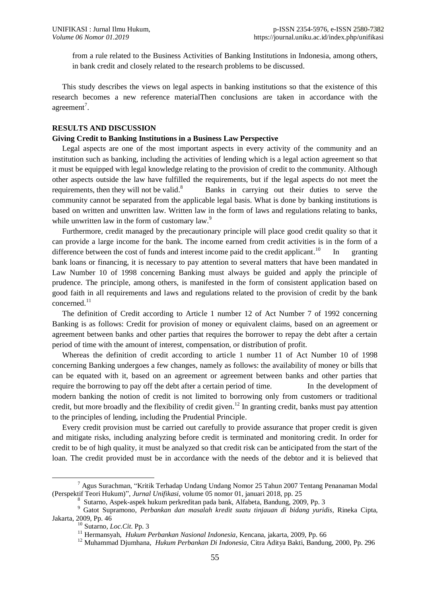from a rule related to the Business Activities of Banking Institutions in Indonesia, among others, in bank credit and closely related to the research problems to be discussed.

This study describes the views on legal aspects in banking institutions so that the existence of this research becomes a new reference materialThen conclusions are taken in accordance with the agreement<sup>7</sup>.

### **RESULTS AND DISCUSSION**

#### **Giving Credit to Banking Institutions in a Business Law Perspective**

Legal aspects are one of the most important aspects in every activity of the community and an institution such as banking, including the activities of lending which is a legal action agreement so that it must be equipped with legal knowledge relating to the provision of credit to the community. Although other aspects outside the law have fulfilled the requirements, but if the legal aspects do not meet the requirements, then they will not be valid.<sup>8</sup> <sup>8</sup> Banks in carrying out their duties to serve the community cannot be separated from the applicable legal basis. What is done by banking institutions is based on written and unwritten law. Written law in the form of laws and regulations relating to banks, while unwritten law in the form of customary law.<sup>9</sup>

Furthermore, credit managed by the precautionary principle will place good credit quality so that it can provide a large income for the bank. The income earned from credit activities is in the form of a difference between the cost of funds and interest income paid to the credit applicant.<sup>10</sup> <sup>10</sup> In granting bank loans or financing, it is necessary to pay attention to several matters that have been mandated in Law Number 10 of 1998 concerning Banking must always be guided and apply the principle of prudence. The principle, among others, is manifested in the form of consistent application based on good faith in all requirements and laws and regulations related to the provision of credit by the bank concerned.<sup>11</sup>

The definition of Credit according to Article 1 number 12 of Act Number 7 of 1992 concerning Banking is as follows: Credit for provision of money or equivalent claims, based on an agreement or agreement between banks and other parties that requires the borrower to repay the debt after a certain period of time with the amount of interest, compensation, or distribution of profit.

Whereas the definition of credit according to article 1 number 11 of Act Number 10 of 1998 concerning Banking undergoes a few changes, namely as follows: the availability of money or bills that can be equated with it, based on an agreement or agreement between banks and other parties that require the borrowing to pay off the debt after a certain period of time. In the development of modern banking the notion of credit is not limited to borrowing only from customers or traditional credit, but more broadly and the flexibility of credit given.<sup>12</sup> In granting credit, banks must pay attention to the principles of lending, including the Prudential Principle.

Every credit provision must be carried out carefully to provide assurance that proper credit is given and mitigate risks, including analyzing before credit is terminated and monitoring credit. In order for credit to be of high quality, it must be analyzed so that credit risk can be anticipated from the start of the loan. The credit provided must be in accordance with the needs of the debtor and it is believed that

 $\overline{a}$ 

<sup>7</sup> Agus Surachman, "Kritik Terhadap Undang Undang Nomor 25 Tahun 2007 Tentang Penanaman Modal (Perspektif Teori Hukum)", *Jurnal Unifikasi,* volume 05 nomor 01, januari 2018, pp. 25

<sup>8</sup> Sutarno, Aspek-aspek hukum perkreditan pada bank, Alfabeta, Bandung, 2009, Pp. 3

<sup>9</sup> Gatot Supramono, *Perbankan dan masalah kredit suatu tinjauan di bidang yuridis*, Rineka Cipta, Jakarta, 2009, Pp. 46

<sup>10</sup> Sutarno, *Loc.Cit*. Pp. 3

<sup>11</sup> Hermansyah, *Hukum Perbankan Nasional Indonesia*, Kencana, jakarta, 2009, Pp. 66

<sup>12</sup> Muhammad Djumhana*, Hukum Perbankan Di Indonesia*, Citra Aditya Bakti, Bandung, 2000, Pp. 296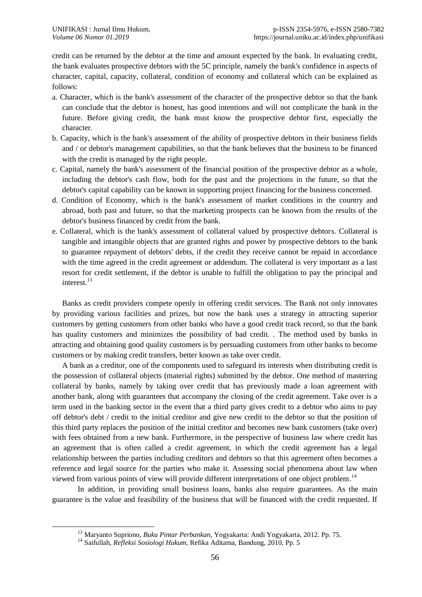credit can be returned by the debtor at the time and amount expected by the bank. In evaluating credit, the bank evaluates prospective debtors with the 5C principle, namely the bank's confidence in aspects of character, capital, capacity, collateral, condition of economy and collateral which can be explained as follows:

- a. Character, which is the bank's assessment of the character of the prospective debtor so that the bank can conclude that the debtor is honest, has good intentions and will not complicate the bank in the future. Before giving credit, the bank must know the prospective debtor first, especially the character.
- b. Capacity, which is the bank's assessment of the ability of prospective debtors in their business fields and / or debtor's management capabilities, so that the bank believes that the business to be financed with the credit is managed by the right people.
- c. Capital, namely the bank's assessment of the financial position of the prospective debtor as a whole, including the debtor's cash flow, both for the past and the projections in the future, so that the debtor's capital capability can be known in supporting project financing for the business concerned.
- d. Condition of Economy, which is the bank's assessment of market conditions in the country and abroad, both past and future, so that the marketing prospects can be known from the results of the debtor's business financed by credit from the bank.
- e. Collateral, which is the bank's assessment of collateral valued by prospective debtors. Collateral is tangible and intangible objects that are granted rights and power by prospective debtors to the bank to guarantee repayment of debtors' debts, if the credit they receive cannot be repaid in accordance with the time agreed in the credit agreement or addendum. The collateral is very important as a last resort for credit settlement, if the debtor is unable to fulfill the obligation to pay the principal and interest. 13

Banks as credit providers compete openly in offering credit services. The Bank not only innovates by providing various facilities and prizes, but now the bank uses a strategy in attracting superior customers by getting customers from other banks who have a good credit track record, so that the bank has quality customers and minimizes the possibility of bad credit. . The method used by banks in attracting and obtaining good quality customers is by persuading customers from other banks to become customers or by making credit transfers, better known as take over credit.

A bank as a creditor, one of the components used to safeguard its interests when distributing credit is the possession of collateral objects (material rights) submitted by the debtor. One method of mastering collateral by banks, namely by taking over credit that has previously made a loan agreement with another bank, along with guarantees that accompany the closing of the credit agreement. Take over is a term used in the banking sector in the event that a third party gives credit to a debtor who aims to pay off debtor's debt / credit to the initial creditor and give new credit to the debtor so that the position of this third party replaces the position of the initial creditor and becomes new bank customers (take over) with fees obtained from a new bank. Furthermore, in the perspective of business law where credit has an agreement that is often called a credit agreement, in which the credit agreement has a legal relationship between the parties including creditors and debtors so that this agreement often becomes a reference and legal source for the parties who make it. Assessing social phenomena about law when viewed from various points of view will provide different interpretations of one object problem.<sup>14</sup>

In addition, in providing small business loans, banks also require guarantees. As the main guarantee is the value and feasibility of the business that will be financed with the credit requested. If

 $\overline{a}$ 

<sup>13</sup> Maryanto Supriono, *Buku Pintar Perbankan*, Yogyakarta: Andi Yogyakarta, 2012. Pp. 75.

<sup>14</sup> Saifullah, *Refleksi Sosiologi Hukum*, Refika Aditama, Bandung, 2010, Pp. 5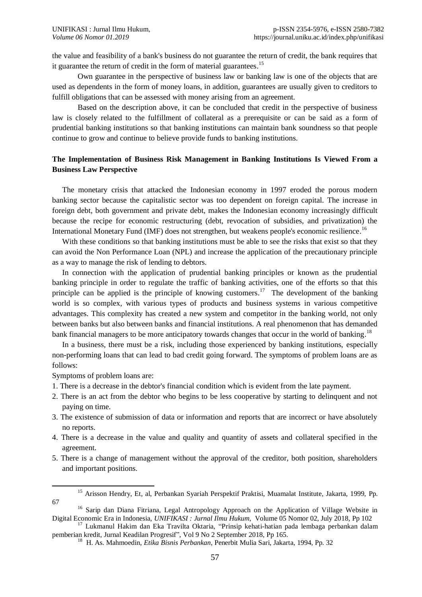the value and feasibility of a bank's business do not guarantee the return of credit, the bank requires that it guarantee the return of credit in the form of material guarantees.<sup>15</sup>

Own guarantee in the perspective of business law or banking law is one of the objects that are used as dependents in the form of money loans, in addition, guarantees are usually given to creditors to fulfill obligations that can be assessed with money arising from an agreement.

Based on the description above, it can be concluded that credit in the perspective of business law is closely related to the fulfillment of collateral as a prerequisite or can be said as a form of prudential banking institutions so that banking institutions can maintain bank soundness so that people continue to grow and continue to believe provide funds to banking institutions.

## **The Implementation of Business Risk Management in Banking Institutions Is Viewed From a Business Law Perspective**

The monetary crisis that attacked the Indonesian economy in 1997 eroded the porous modern banking sector because the capitalistic sector was too dependent on foreign capital. The increase in foreign debt, both government and private debt, makes the Indonesian economy increasingly difficult because the recipe for economic restructuring (debt, revocation of subsidies, and privatization) the International Monetary Fund (IMF) does not strengthen, but weakens people's economic resilience.<sup>16</sup>

With these conditions so that banking institutions must be able to see the risks that exist so that they can avoid the Non Performance Loan (NPL) and increase the application of the precautionary principle as a way to manage the risk of lending to debtors.

In connection with the application of prudential banking principles or known as the prudential banking principle in order to regulate the traffic of banking activities, one of the efforts so that this principle can be applied is the principle of knowing customers.<sup>17</sup> The development of the banking world is so complex, with various types of products and business systems in various competitive advantages. This complexity has created a new system and competitor in the banking world, not only between banks but also between banks and financial institutions. A real phenomenon that has demanded bank financial managers to be more anticipatory towards changes that occur in the world of banking.<sup>18</sup>

In a business, there must be a risk, including those experienced by banking institutions, especially non-performing loans that can lead to bad credit going forward. The symptoms of problem loans are as follows:

Symptoms of problem loans are:

- 1. There is a decrease in the debtor's financial condition which is evident from the late payment.
- 2. There is an act from the debtor who begins to be less cooperative by starting to delinquent and not paying on time.
- 3. The existence of submission of data or information and reports that are incorrect or have absolutely no reports.
- 4. There is a decrease in the value and quality and quantity of assets and collateral specified in the agreement.
- 5. There is a change of management without the approval of the creditor, both position, shareholders and important positions.

l <sup>15</sup> Arisson Hendry, Et, al, Perbankan Syariah Perspektif Praktisi, Muamalat Institute, Jakarta, 1999, Pp. 67

<sup>&</sup>lt;sup>16</sup> Sarip dan Diana Fitriana, Legal Antropology Approach on the Application of Village Website in Digital Economic Era in Indonesia, *UNIFIKASI : Jurnal Ilmu Hukum*, Volume 05 Nomor 02, July 2018, Pp 102

<sup>&</sup>lt;sup>17</sup> Lukmanul Hakim dan Eka Travilta Oktaria, "Prinsip kehati-hatian pada lembaga perbankan dalam pemberian kredit, Jurnal Keadilan Progresif", Vol 9 No 2 September 2018, Pp 165.

<sup>18</sup> H. As. Mahmoedin, *Etika Bisnis Perbankan*, Penerbit Mulia Sari, Jakarta, 1994, Pp. 32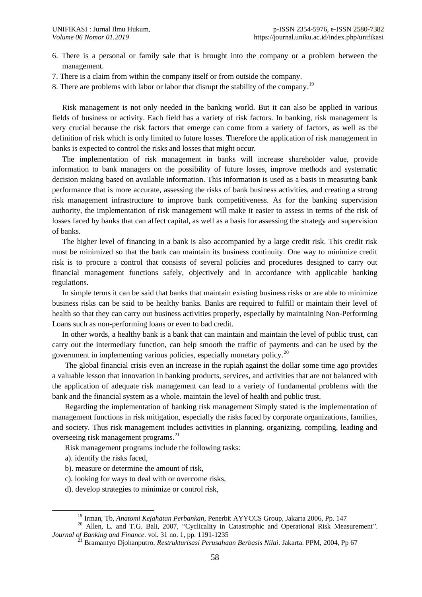- 6. There is a personal or family sale that is brought into the company or a problem between the management.
- 7. There is a claim from within the company itself or from outside the company.
- 8. There are problems with labor or labor that disrupt the stability of the company.<sup>19</sup>

Risk management is not only needed in the banking world. But it can also be applied in various fields of business or activity. Each field has a variety of risk factors. In banking, risk management is very crucial because the risk factors that emerge can come from a variety of factors, as well as the definition of risk which is only limited to future losses. Therefore the application of risk management in banks is expected to control the risks and losses that might occur.

The implementation of risk management in banks will increase shareholder value, provide information to bank managers on the possibility of future losses, improve methods and systematic decision making based on available information. This information is used as a basis in measuring bank performance that is more accurate, assessing the risks of bank business activities, and creating a strong risk management infrastructure to improve bank competitiveness. As for the banking supervision authority, the implementation of risk management will make it easier to assess in terms of the risk of losses faced by banks that can affect capital, as well as a basis for assessing the strategy and supervision of banks.

The higher level of financing in a bank is also accompanied by a large credit risk. This credit risk must be minimized so that the bank can maintain its business continuity. One way to minimize credit risk is to procure a control that consists of several policies and procedures designed to carry out financial management functions safely, objectively and in accordance with applicable banking regulations.

In simple terms it can be said that banks that maintain existing business risks or are able to minimize business risks can be said to be healthy banks. Banks are required to fulfill or maintain their level of health so that they can carry out business activities properly, especially by maintaining Non-Performing Loans such as non-performing loans or even to bad credit.

In other words, a healthy bank is a bank that can maintain and maintain the level of public trust, can carry out the intermediary function, can help smooth the traffic of payments and can be used by the government in implementing various policies, especially monetary policy.<sup>20</sup>

The global financial crisis even an increase in the rupiah against the dollar some time ago provides a valuable lesson that innovation in banking products, services, and activities that are not balanced with the application of adequate risk management can lead to a variety of fundamental problems with the bank and the financial system as a whole. maintain the level of health and public trust.

Regarding the implementation of banking risk management Simply stated is the implementation of management functions in risk mitigation, especially the risks faced by corporate organizations, families, and society. Thus risk management includes activities in planning, organizing, compiling, leading and overseeing risk management programs.<sup>21</sup>

Risk management programs include the following tasks:

a). identify the risks faced,

l

- b). measure or determine the amount of risk,
- c). looking for ways to deal with or overcome risks,
- d). develop strategies to minimize or control risk,

<sup>19</sup> Irman, Tb, *Anatomi Kejahatan Perbankan*, Penerbit AYYCCS Group, Jakarta 2006, Pp. 147

<sup>&</sup>lt;sup>20</sup> Allen, L. and T.G. Bali, 2007, "Cyclicality in Catastrophic and Operational Risk Measurement". *Journal of Banking and Finance*. vol. 31 no. 1, pp. 1191-1235

<sup>21</sup> Bramantyo Djohanputro, *Restrukturisasi Perusahaan Berbasis Nilai*. Jakarta. PPM, 2004, Pp 67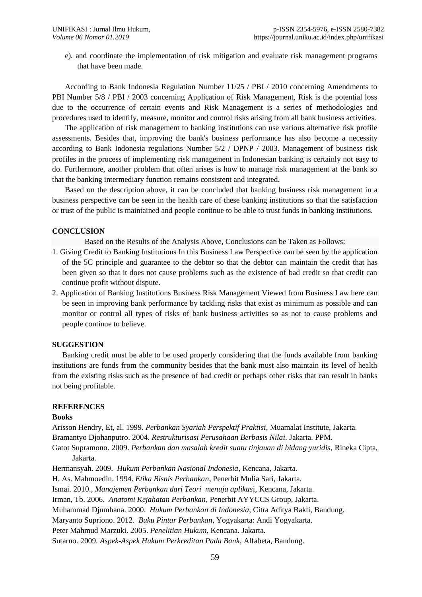e). and coordinate the implementation of risk mitigation and evaluate risk management programs that have been made.

According to Bank Indonesia Regulation Number 11/25 / PBI / 2010 concerning Amendments to PBI Number 5/8 / PBI / 2003 concerning Application of Risk Management, Risk is the potential loss due to the occurrence of certain events and Risk Management is a series of methodologies and procedures used to identify, measure, monitor and control risks arising from all bank business activities.

The application of risk management to banking institutions can use various alternative risk profile assessments. Besides that, improving the bank's business performance has also become a necessity according to Bank Indonesia regulations Number 5/2 / DPNP / 2003. Management of business risk profiles in the process of implementing risk management in Indonesian banking is certainly not easy to do. Furthermore, another problem that often arises is how to manage risk management at the bank so that the banking intermediary function remains consistent and integrated.

Based on the description above, it can be concluded that banking business risk management in a business perspective can be seen in the health care of these banking institutions so that the satisfaction or trust of the public is maintained and people continue to be able to trust funds in banking institutions.

## **CONCLUSION**

Based on the Results of the Analysis Above, Conclusions can be Taken as Follows:

- 1. Giving Credit to Banking Institutions In this Business Law Perspective can be seen by the application of the 5C principle and guarantee to the debtor so that the debtor can maintain the credit that has been given so that it does not cause problems such as the existence of bad credit so that credit can continue profit without dispute.
- 2. Application of Banking Institutions Business Risk Management Viewed from Business Law here can be seen in improving bank performance by tackling risks that exist as minimum as possible and can monitor or control all types of risks of bank business activities so as not to cause problems and people continue to believe.

### **SUGGESTION**

Banking credit must be able to be used properly considering that the funds available from banking institutions are funds from the community besides that the bank must also maintain its level of health from the existing risks such as the presence of bad credit or perhaps other risks that can result in banks not being profitable.

## **REFERENCES**

#### **Books**

Arisson Hendry, Et, al. 1999. *Perbankan Syariah Perspektif Praktisi*, Muamalat Institute, Jakarta. Bramantyo Djohanputro. 2004. *Restrukturisasi Perusahaan Berbasis Nilai*. Jakarta. PPM.

Gatot Supramono. 2009. *Perbankan dan masalah kredit suatu tinjauan di bidang yuridis*, Rineka Cipta, Jakarta.

Hermansyah. 2009. *Hukum Perbankan Nasional Indonesia*, Kencana, Jakarta.

H. As. Mahmoedin. 1994. *Etika Bisnis Perbankan*, Penerbit Mulia Sari, Jakarta.

Ismai. 2010.*, Manajemen Perbankan dari Teori menuju aplikas*i, Kencana, Jakarta.

Irman, Tb. 2006. *Anatomi Kejahatan Perbankan*, Penerbit AYYCCS Group, Jakarta.

Muhammad Djumhana. 2000. *Hukum Perbankan di Indonesia*, Citra Aditya Bakti, Bandung.

Maryanto Supriono. 2012. *Buku Pintar Perbankan*, Yogyakarta: Andi Yogyakarta.

Peter Mahmud Marzuki. 2005. *Penelitian Hukum*, Kencana. Jakarta.

Sutarno. 2009. *Aspek-Aspek Hukum Perkreditan Pada Bank*, Alfabeta, Bandung.